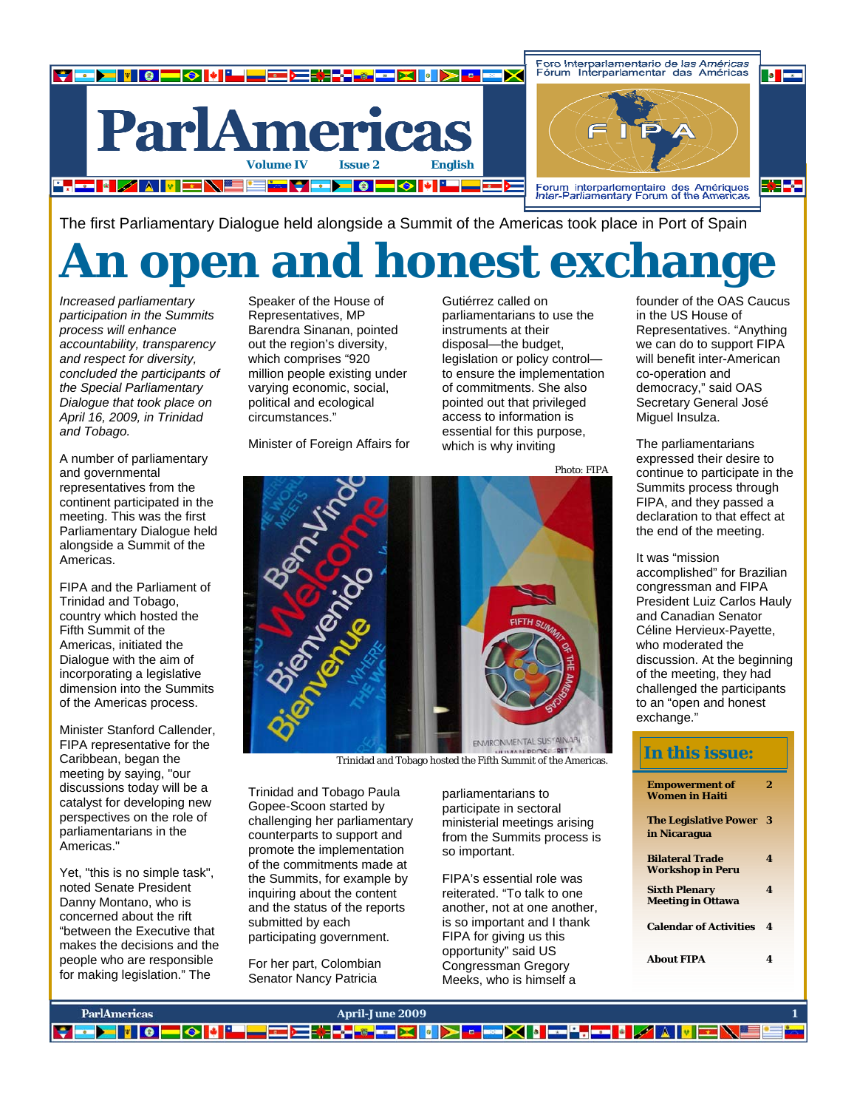

The first Parliamentary Dialogue held alongside a Summit of the Americas took place in Port of Spain

# **An open and honest exchange**

*Increased parliamentary participation in the Summits process will enhance accountability, transparency and respect for diversity, concluded the participants of the Special Parliamentary Dialogue that took place on April 16, 2009, in Trinidad and Tobago.* 

A number of parliamentary and governmental representatives from the continent participated in the meeting. This was the first Parliamentary Dialogue held alongside a Summit of the Americas.

FIPA and the Parliament of Trinidad and Tobago, country which hosted the Fifth Summit of the Americas, initiated the Dialogue with the aim of incorporating a legislative dimension into the Summits of the Americas process.

Minister Stanford Callender, FIPA representative for the Caribbean, began the meeting by saying, "our discussions today will be a catalyst for developing new perspectives on the role of parliamentarians in the Americas."

Yet, "this is no simple task", noted Senate President Danny Montano, who is concerned about the rift "between the Executive that makes the decisions and the people who are responsible for making legislation." The

Speaker of the House of Representatives, MP Barendra Sinanan, pointed out the region's diversity, which comprises "920 million people existing under varying economic, social, political and ecological circumstances."

Minister of Foreign Affairs for

Gutiérrez called on parliamentarians to use the instruments at their disposal—the budget, legislation or policy control to ensure the implementation of commitments. She also pointed out that privileged access to information is essential for this purpose, which is why inviting

Photo: FIPA



Trinidad and Tobago hosted the Fifth Summit of the Americas.

Trinidad and Tobago Paula Gopee-Scoon started by challenging her parliamentary counterparts to support and promote the implementation of the commitments made at the Summits, for example by inquiring about the content and the status of the reports submitted by each participating government.

For her part, Colombian Senator Nancy Patricia

parliamentarians to participate in sectoral ministerial meetings arising from the Summits process is so important.

FIPA's essential role was reiterated. "To talk to one another, not at one another, is so important and I thank FIPA for giving us this opportunity" said US Congressman Gregory Meeks, who is himself a

founder of the OAS Caucus in the US House of Representatives. "Anything we can do to support FIPA will benefit inter-American co-operation and democracy," said OAS Secretary General José Miguel Insulza.

The parliamentarians expressed their desire to continue to participate in the Summits process through FIPA, and they passed a declaration to that effect at the end of the meeting.

It was "mission accomplished" for Brazilian congressman and FIPA President Luiz Carlos Hauly and Canadian Senator Céline Hervieux-Payette, who moderated the discussion. At the beginning of the meeting, they had challenged the participants to an "open and honest exchange."

### **In this issue:**

| <b>Empowerment of</b><br><b>Women in Haiti</b>    | 2 |  |
|---------------------------------------------------|---|--|
| The Legislative Power 3<br>in Nicaragua           |   |  |
| <b>Bilateral Trade</b><br><b>Workshop in Peru</b> | 4 |  |
| <b>Sixth Plenary</b><br><b>Meeting in Ottawa</b>  | 4 |  |
| <b>Calendar of Activities</b>                     | 4 |  |
| <b>About FIPA</b>                                 | 4 |  |

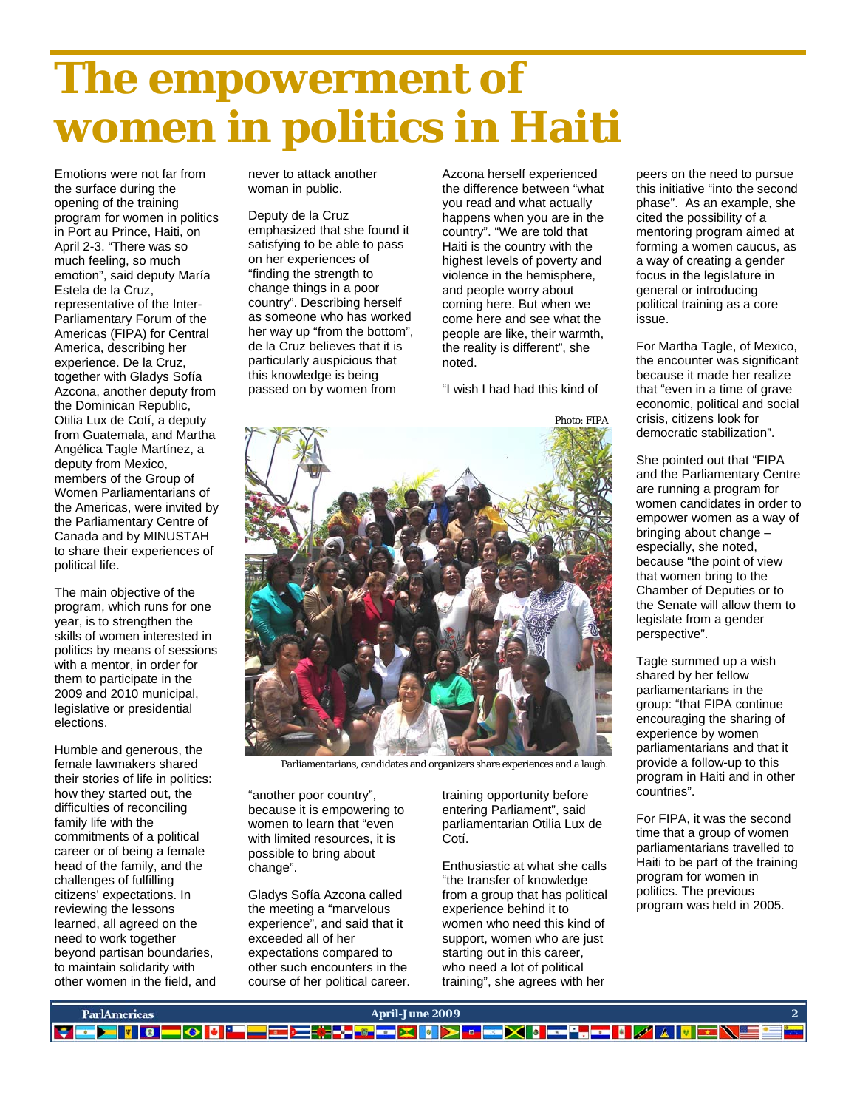# **The empowerment of women in politics in Haiti**

Emotions were not far from the surface during the opening of the training program for women in politics in Port au Prince, Haiti, on April 2-3. "There was so much feeling, so much emotion", said deputy María Estela de la Cruz, representative of the Inter-Parliamentary Forum of the Americas (FIPA) for Central America, describing her experience. De la Cruz, together with Gladys Sofía Azcona, another deputy from the Dominican Republic, Otilia Lux de Cotí, a deputy from Guatemala, and Martha Angélica Tagle Martínez, a deputy from Mexico, members of the Group of Women Parliamentarians of the Americas, were invited by the Parliamentary Centre of Canada and by MINUSTAH to share their experiences of political life.

The main objective of the program, which runs for one year, is to strengthen the skills of women interested in politics by means of sessions with a mentor, in order for them to participate in the 2009 and 2010 municipal, legislative or presidential elections.

Humble and generous, the female lawmakers shared their stories of life in politics: how they started out, the difficulties of reconciling family life with the commitments of a political career or of being a female head of the family, and the challenges of fulfilling citizens' expectations. In reviewing the lessons learned, all agreed on the need to work together beyond partisan boundaries, to maintain solidarity with other women in the field, and never to attack another woman in public.

Deputy de la Cruz emphasized that she found it satisfying to be able to pass on her experiences of "finding the strength to change things in a poor country". Describing herself as someone who has worked her way up "from the bottom", de la Cruz believes that it is particularly auspicious that this knowledge is being passed on by women from

Azcona herself experienced the difference between "what you read and what actually happens when you are in the country". "We are told that Haiti is the country with the highest levels of poverty and violence in the hemisphere, and people worry about coming here. But when we come here and see what the people are like, their warmth, the reality is different", she noted.

"I wish I had had this kind of



Parliamentarians, candidates and organizers share experiences and a laugh.

"another poor country", because it is empowering to women to learn that "even with limited resources, it is possible to bring about change".

Gladys Sofía Azcona called the meeting a "marvelous experience", and said that it exceeded all of her expectations compared to other such encounters in the course of her political career. training opportunity before entering Parliament", said parliamentarian Otilia Lux de Cotí.

Enthusiastic at what she calls "the transfer of knowledge from a group that has political experience behind it to women who need this kind of support, women who are just starting out in this career, who need a lot of political training", she agrees with her

peers on the need to pursue this initiative "into the second phase". As an example, she cited the possibility of a mentoring program aimed at forming a women caucus, as a way of creating a gender focus in the legislature in general or introducing political training as a core issue.

For Martha Tagle, of Mexico, the encounter was significant because it made her realize that "even in a time of grave economic, political and social crisis, citizens look for democratic stabilization".

She pointed out that "FIPA and the Parliamentary Centre are running a program for women candidates in order to empower women as a way of bringing about change – especially, she noted, because "the point of view that women bring to the Chamber of Deputies or to the Senate will allow them to legislate from a gender perspective".

Tagle summed up a wish shared by her fellow parliamentarians in the group: "that FIPA continue encouraging the sharing of experience by women parliamentarians and that it provide a follow-up to this program in Haiti and in other countries".

For FIPA, it was the second time that a group of women parliamentarians travelled to Haiti to be part of the training program for women in politics. The previous program was held in 2005.

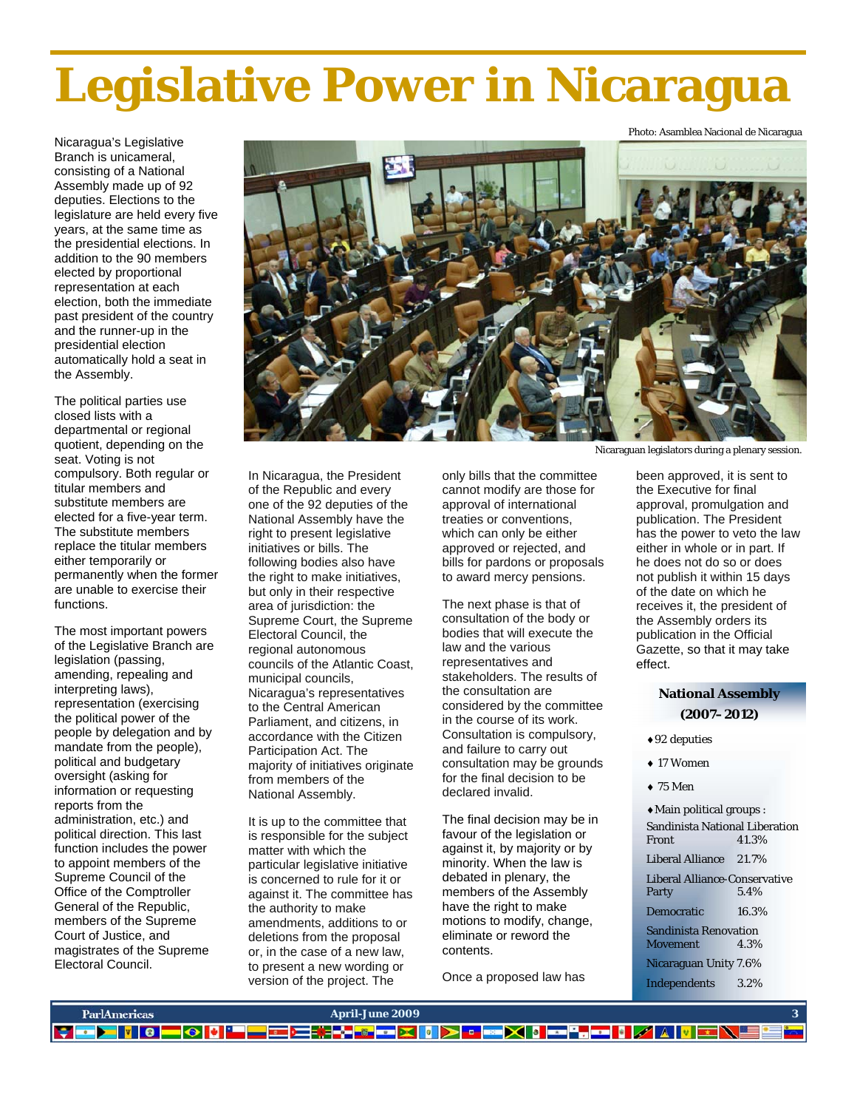# **Legislative Power in Nicaragua**

Nicaragua's Legislative Branch is unicameral, consisting of a National Assembly made up of 92 deputies. Elections to the legislature are held every five years, at the same time as the presidential elections. In addition to the 90 members elected by proportional representation at each election, both the immediate past president of the country and the runner-up in the presidential election automatically hold a seat in the Assembly.

The political parties use closed lists with a departmental or regional quotient, depending on the seat. Voting is not compulsory. Both regular or titular members and substitute members are elected for a five-year term. The substitute members replace the titular members either temporarily or permanently when the former are unable to exercise their functions.

The most important powers of the Legislative Branch are legislation (passing, amending, repealing and interpreting laws), representation (exercising the political power of the people by delegation and by mandate from the people), political and budgetary oversight (asking for information or requesting reports from the administration, etc.) and political direction. This last function includes the power to appoint members of the Supreme Council of the Office of the Comptroller General of the Republic, members of the Supreme Court of Justice, and magistrates of the Supreme Electoral Council.



In Nicaragua, the President of the Republic and every one of the 92 deputies of the National Assembly have the right to present legislative initiatives or bills. The following bodies also have the right to make initiatives, but only in their respective area of jurisdiction: the Supreme Court, the Supreme Electoral Council, the regional autonomous councils of the Atlantic Coast, municipal councils, Nicaragua's representatives to the Central American Parliament, and citizens, in accordance with the Citizen Participation Act. The majority of initiatives originate from members of the National Assembly.

It is up to the committee that is responsible for the subject matter with which the particular legislative initiative is concerned to rule for it or against it. The committee has the authority to make amendments, additions to or deletions from the proposal or, in the case of a new law, to present a new wording or version of the project. The

only bills that the committee cannot modify are those for approval of international treaties or conventions, which can only be either approved or rejected, and bills for pardons or proposals to award mercy pensions.

The next phase is that of consultation of the body or bodies that will execute the law and the various representatives and stakeholders. The results of the consultation are considered by the committee in the course of its work. Consultation is compulsory, and failure to carry out consultation may be grounds for the final decision to be declared invalid.

The final decision may be in favour of the legislation or against it, by majority or by minority. When the law is debated in plenary, the members of the Assembly have the right to make motions to modify, change, eliminate or reword the contents.

Once a proposed law has

Nicaraguan legislators during a plenary session.

Photo: Asamblea Nacional de Nicaragua

been approved, it is sent to the Executive for final approval, promulgation and publication. The President has the power to veto the law either in whole or in part. If he does not do so or does not publish it within 15 days of the date on which he receives it, the president of the Assembly orders its publication in the Official Gazette, so that it may take effect.

### **National Assembly (2007–2012)**

- ♦92 deputies
- ♦ 17 Women
- $\bullet$  75 Men
- ♦Main political groups : Sandinista National Liberation<br>Front 41.3% 41.3% Liberal Alliance 21.7% Liberal Alliance-Conservative Party Democratic 16.3% Sandinista Renovation Movement 4.3% Nicaraguan Unity 7.6% Independents 3.2%

| <b>ParlAmericas</b>  | <b>April-June 2009</b>                                            |  |
|----------------------|-------------------------------------------------------------------|--|
| IЭI<br><b>PERSON</b> | ▌▆▍▆▏▓▐▞▊▓▏▆▖▓▕▏▏⋝▏▘▐▘<br>▀▓▓░▓░▓▓▓▓▓<br><b>AVE</b><br><b>PER</b> |  |